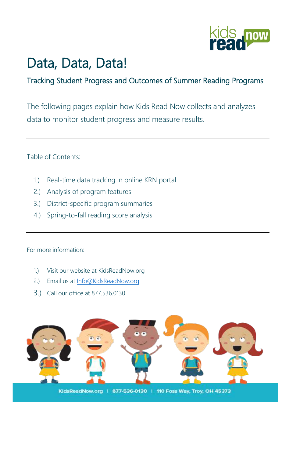

## Data, Data, Data!

### Tracking Student Progress and Outcomes of Summer Reading Programs

The following pages explain how Kids Read Now collects and analyzes data to monitor student progress and measure results.

Table of Contents:

- 1.) Real-time data tracking in online KRN portal
- 2.) Analysis of program features
- 3.) District-specific program summaries
- 4.) Spring-to-fall reading score analysis

For more information:

- 1.) Visit our website at KidsReadNow.org
- 2.) Email us at [Info@KidsReadNow.org](mailto:Info@KidsReadNow.org)
- 3.) Call our office at 877.536.0130

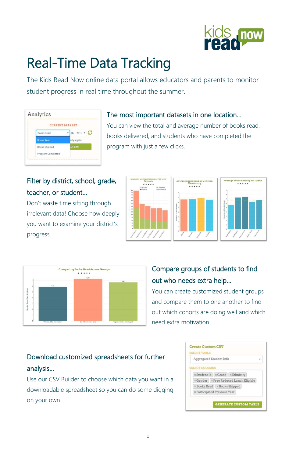#### 1



# Real-Time Data Tracking

The Kids Read Now online data portal allows educators and parents to monitor student progress in real time throughout the summer.

| <b>CURRENT DATA SET</b> |              |
|-------------------------|--------------|
| <b>Books Read</b>       | 2017<br>in   |
| <b>Books Read</b>       | ntly applied |
| <b>Books Shipped</b>    | <b>LTERS</b> |
| Program Completed       |              |

### The most important datasets in one location…

You can view the total and average number of books read, books delivered, and students who have completed the program with just a few clicks.

### Filter by district, school, grade, teacher, or student…

Don't waste time sifting through irrelevant data! Choose how deeply you want to examine your district's progress.





### Compare groups of students to find out who needs extra help…

You can create customized student groups and compare them to one another to find out which cohorts are doing well and which need extra motivation.

### Download customized spreadsheets for further analysis…

Use our CSV Builder to choose which data you want in a downloadable spreadsheet so you can do some digging on your own!

| <b>SELECT TABLE</b>     |                                                 |  |
|-------------------------|-------------------------------------------------|--|
| Aggregated Student Info |                                                 |  |
| <b>SELECT COLUMNS</b>   |                                                 |  |
|                         | x Student Id   x Grade   x Ethnicity            |  |
|                         | <b>x Gender   x Free Reduced Lunch Eligible</b> |  |
|                         | <b>×Books Read   ×Books Shipped</b>             |  |
|                         | <b>× Participated Previous Year</b>             |  |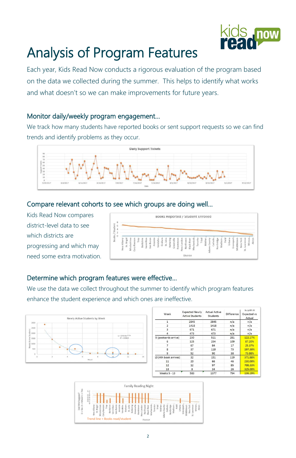

# Analysis of Program Features

Each year, Kids Read Now conducts a rigorous evaluation of the program based on the data we collected during the summer. This helps to identify what works and what doesn't so we can make improvements for future years.

We track how many students have reported books or sent support requests so we can find trends and identify problems as they occur.



#### Monitor daily/weekly program engagement…

#### Compare relevant cohorts to see which groups are doing well…

Kids Read Now compares district-level data to see which districts are progressing and which may need some extra motivation.



#### Determine which program features were effective…

We use the data we collect throughout the summer to identify which program features enhance the student experience and which ones are ineffective.



| Week                  | <b>Expected Newly</b><br><b>Active Students</b> | <b>Actual Active</b><br>Students | Difference | % DITT IN<br>Expected vs<br>Actual |  |  |
|-----------------------|-------------------------------------------------|----------------------------------|------------|------------------------------------|--|--|
| 1                     | 2845                                            | 2845                             | n/a        | n/a                                |  |  |
| 2                     | 1418                                            | 1418                             | n/a        | n/a                                |  |  |
| 3                     | 671                                             | 671                              | n/a        | n/a                                |  |  |
| 4                     | 473                                             | 473                              | n/a        | n/a                                |  |  |
| 5 (postcards arrive)  | 230                                             | 511                              | 281        | 122.17%                            |  |  |
| 6                     | 125                                             | 234                              | 109        | 87.20%                             |  |  |
| 7                     | 67                                              | 84                               | 17         | 25.37%                             |  |  |
| 8                     | 37                                              | 110                              | 73         | 197.30%                            |  |  |
| 9                     | 52                                              | 90                               | 38         | 73.08%                             |  |  |
| 10 (4th book arrives) | 32                                              | 151                              | 119        | 371.88%                            |  |  |
| 11                    | 20                                              | 66                               | 46         | 230.00%                            |  |  |
| 12                    | 12                                              | 97                               | 85         | 708.33%                            |  |  |
| 13                    | 8                                               | 34                               | 26         | 325.00%                            |  |  |
| Weeks 5 - 13          | 583                                             | 1377                             | 794        | 136.19%                            |  |  |

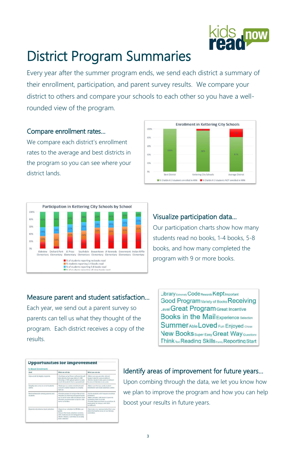

## District Program Summaries

Every year after the summer program ends, we send each district a summary of their enrollment, participation, and parent survey results. We compare your district to others and compare your schools to each other so you have a wellrounded view of the program.

#### Compare enrollment rates…

We compare each district's enrollment rates to the average and best districts in the program so you can see where your district lands.





#### Visualize participation data…

Our participation charts show how many students read no books, 1-4 books, 5-8 books, and how many completed the program with 9 or more books.

#### Measure parent and student satisfaction…

Each year, we send out a parent survey so parents can tell us what they thought of the program. Each district receives a copy of the

Library Extremely Code Rewards Kept Important Good Program Variety of Books Receiving Level Great Program Great Incentive **Books in the Mail Experience Selection** Summer Able Loved Fun Enjoyed Chose New Books super Easy Great Way Questions

results.

**Think Text Reading Skills Family Reporting Start** 

| <b>To Boost Enrollment:</b>                      |                                                                                                                                                                                              |                                                                                                                                                                                                                              |  |  |  |
|--------------------------------------------------|----------------------------------------------------------------------------------------------------------------------------------------------------------------------------------------------|------------------------------------------------------------------------------------------------------------------------------------------------------------------------------------------------------------------------------|--|--|--|
| Goal                                             | What we will do:                                                                                                                                                                             | What you can do:                                                                                                                                                                                                             |  |  |  |
| Auto-enroll all eligible students                | -Continue using Clever software to pull<br>data directly from your district's SIS<br>-Develop a CSV upload option to auto-<br>enroll all students from a spreadsheet                         | -Make sure you provide relevant<br>student data for auto-enrollment<br>Review student data upon enrollment<br>to ensure that data is accurate                                                                                |  |  |  |
| Simplify data entry to enroll students<br>online | Redesign our online enrollment and<br>account creation features to simplify<br>sign-up                                                                                                       | -Make sure that you verify student<br>information and book selections online                                                                                                                                                 |  |  |  |
| Build enthusiasm among parents and<br>students.  | -Provide posters to hang in the school<br>-Provide an informational parent hand-<br>out to send home with enrollment form<br>-Provide recommended script for calls<br>home to families.      | -Excite students with frequent in-school<br>reminders<br>-Make periodic calls home to parents<br>rominding them to enroll.<br>-Provide extra incentives to enroll (ex. A<br>pizza party for classes with 100%<br>enrollments |  |  |  |
| Expand and enhance book selection                | -Expand our selection to 30 titles per<br>grade<br>-Ensure that book selection contains.<br>20% multicultural and bilingual books<br>-Build a literacy committee to revamp<br>book selection | Nominate one representative from your<br>district/school to serve on our literacy<br>committee                                                                                                                               |  |  |  |

#### Identify areas of improvement for future years…

Upon combing through the data, we let you know how we plan to improve the program and how you can help boost your results in future years.